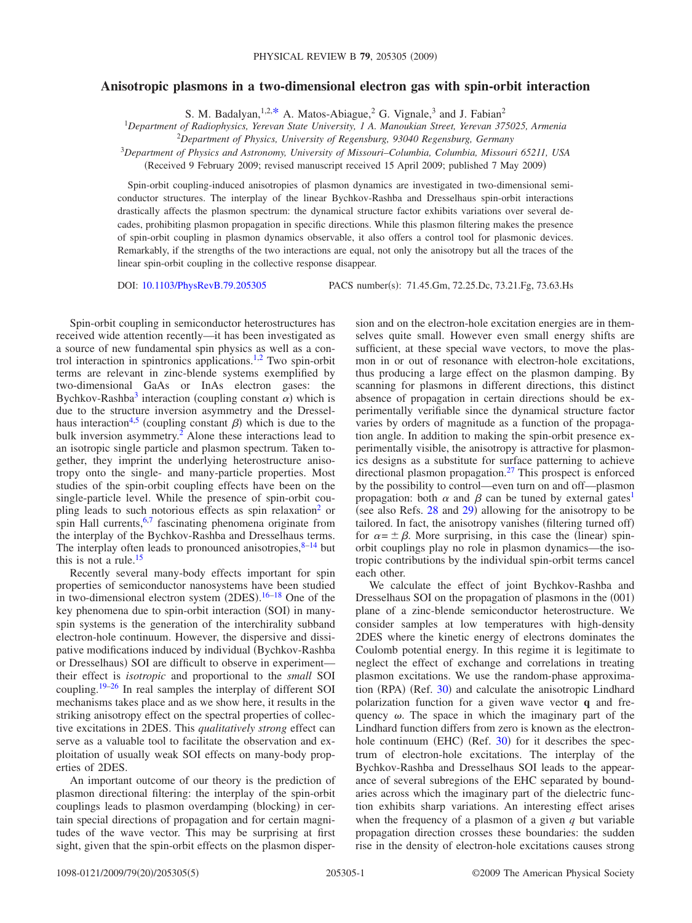## **Anisotropic plasmons in a two-dimensional electron gas with spin-orbit interaction**

S. M. Badalyan,  $1,2,*$  $1,2,*$  A. Matos-Abiague, <sup>2</sup> G. Vignale,<sup>3</sup> and J. Fabian<sup>2</sup>

1 *Department of Radiophysics, Yerevan State University, 1 A. Manoukian Street, Yerevan 375025, Armenia*

2 *Department of Physics, University of Regensburg, 93040 Regensburg, Germany*

<sup>3</sup>*Department of Physics and Astronomy, University of Missouri–Columbia, Columbia, Missouri 65211, USA*

Received 9 February 2009; revised manuscript received 15 April 2009; published 7 May 2009-

Spin-orbit coupling-induced anisotropies of plasmon dynamics are investigated in two-dimensional semiconductor structures. The interplay of the linear Bychkov-Rashba and Dresselhaus spin-orbit interactions drastically affects the plasmon spectrum: the dynamical structure factor exhibits variations over several decades, prohibiting plasmon propagation in specific directions. While this plasmon filtering makes the presence of spin-orbit coupling in plasmon dynamics observable, it also offers a control tool for plasmonic devices. Remarkably, if the strengths of the two interactions are equal, not only the anisotropy but all the traces of the linear spin-orbit coupling in the collective response disappear.

DOI: [10.1103/PhysRevB.79.205305](http://dx.doi.org/10.1103/PhysRevB.79.205305)

PACS number(s): 71.45.Gm, 72.25.Dc, 73.21.Fg, 73.63.Hs

Spin-orbit coupling in semiconductor heterostructures has received wide attention recently—it has been investigated as a source of new fundamental spin physics as well as a con-trol interaction in spintronics applications.<sup>1[,2](#page-3-2)</sup> Two spin-orbit terms are relevant in zinc-blende systems exemplified by two-dimensional GaAs or InAs electron gases: the Bychkov-Rashba<sup>3</sup> interaction (coupling constant  $\alpha$ ) which is due to the structure inversion asymmetry and the Dressel-haus interaction<sup>4[,5](#page-3-5)</sup> (coupling constant  $\beta$ ) which is due to the bulk inversion asymmetry.<sup>2</sup> Alone these interactions lead to an isotropic single particle and plasmon spectrum. Taken together, they imprint the underlying heterostructure anisotropy onto the single- and many-particle properties. Most studies of the spin-orbit coupling effects have been on the single-particle level. While the presence of spin-orbit coupling leads to such notorious effects as spin relaxation<sup>2</sup> or spin Hall currents,  $6,7$  $6,7$  fascinating phenomena originate from the interplay of the Bychkov-Rashba and Dresselhaus terms. The interplay often leads to pronounced anisotropies,  $8-14$  but this is not a rule. $15$ 

Recently several many-body effects important for spin properties of semiconductor nanosystems have been studied in two-dimensional electron system  $(2DES).<sup>16-18</sup>$  $(2DES).<sup>16-18</sup>$  $(2DES).<sup>16-18</sup>$  One of the key phenomena due to spin-orbit interaction (SOI) in manyspin systems is the generation of the interchirality subband electron-hole continuum. However, the dispersive and dissipative modifications induced by individual (Bychkov-Rashba or Dresselhaus) SOI are difficult to observe in experimenttheir effect is *isotropic* and proportional to the *small* SOI coupling[.19](#page-4-3)[–26](#page-4-4) In real samples the interplay of different SOI mechanisms takes place and as we show here, it results in the striking anisotropy effect on the spectral properties of collective excitations in 2DES. This *qualitatively strong* effect can serve as a valuable tool to facilitate the observation and exploitation of usually weak SOI effects on many-body properties of 2DES.

An important outcome of our theory is the prediction of plasmon directional filtering: the interplay of the spin-orbit couplings leads to plasmon overdamping (blocking) in certain special directions of propagation and for certain magnitudes of the wave vector. This may be surprising at first sight, given that the spin-orbit effects on the plasmon dispersion and on the electron-hole excitation energies are in themselves quite small. However even small energy shifts are sufficient, at these special wave vectors, to move the plasmon in or out of resonance with electron-hole excitations, thus producing a large effect on the plasmon damping. By scanning for plasmons in different directions, this distinct absence of propagation in certain directions should be experimentally verifiable since the dynamical structure factor varies by orders of magnitude as a function of the propagation angle. In addition to making the spin-orbit presence experimentally visible, the anisotropy is attractive for plasmonics designs as a substitute for surface patterning to achieve directional plasmon propagation.<sup>27</sup> This prospect is enforced by the possibility to control—even turn on and off—plasmon propagation: both  $\alpha$  and  $\beta$  can be tuned by external gates<sup>1</sup> (see also Refs.  $28$  and  $29$ ) allowing for the anisotropy to be tailored. In fact, the anisotropy vanishes (filtering turned off) for  $\alpha = \pm \beta$ . More surprising, in this case the (linear) spinorbit couplings play no role in plasmon dynamics—the isotropic contributions by the individual spin-orbit terms cancel each other.

We calculate the effect of joint Bychkov-Rashba and Dresselhaus SOI on the propagation of plasmons in the (001) plane of a zinc-blende semiconductor heterostructure. We consider samples at low temperatures with high-density 2DES where the kinetic energy of electrons dominates the Coulomb potential energy. In this regime it is legitimate to neglect the effect of exchange and correlations in treating plasmon excitations. We use the random-phase approxima-tion (RPA) (Ref. [30](#page-4-8)) and calculate the anisotropic Lindhard polarization function for a given wave vector **q** and frequency  $\omega$ . The space in which the imaginary part of the Lindhard function differs from zero is known as the electron-hole continuum (EHC) (Ref. [30](#page-4-8)) for it describes the spectrum of electron-hole excitations. The interplay of the Bychkov-Rashba and Dresselhaus SOI leads to the appearance of several subregions of the EHC separated by boundaries across which the imaginary part of the dielectric function exhibits sharp variations. An interesting effect arises when the frequency of a plasmon of a given *q* but variable propagation direction crosses these boundaries: the sudden rise in the density of electron-hole excitations causes strong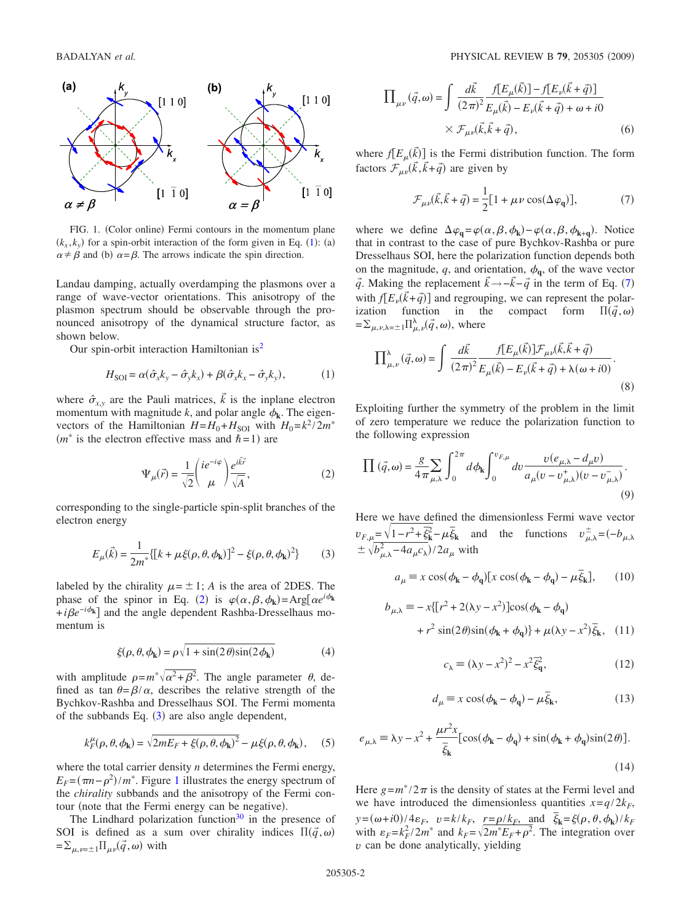<span id="page-1-2"></span>

FIG. 1. (Color online) Fermi contours in the momentum plane  $(k_x, k_y)$  for a spin-orbit interaction of the form given in Eq. ([1](#page-1-4)): (a)  $\alpha \neq \beta$  and (b)  $\alpha = \beta$ . The arrows indicate the spin direction.

Landau damping, actually overdamping the plasmons over a range of wave-vector orientations. This anisotropy of the plasmon spectrum should be observable through the pronounced anisotropy of the dynamical structure factor, as shown below.

Our spin-orbit interaction Hamiltonian i[s2](#page-3-2)

$$
H_{\text{SOI}} = \alpha(\hat{\sigma}_x k_y - \hat{\sigma}_y k_x) + \beta(\hat{\sigma}_x k_x - \hat{\sigma}_y k_y), \tag{1}
$$

<span id="page-1-4"></span>where  $\hat{\sigma}_{x,y}$  are the Pauli matrices,  $\vec{k}$  is the inplane electron momentum with magnitude k, and polar angle  $\phi_k$ . The eigenvectors of the Hamiltonian  $H=H_0+H_{\text{SOI}}$  with  $H_0=k^2/2m^*$  $(m^*$  is the electron effective mass and  $\hbar = 1$ ) are

$$
\Psi_{\mu}(\vec{r}) = \frac{1}{\sqrt{2}} \left( \frac{ie^{-i\varphi}}{\mu} \right) \frac{e^{i\vec{k}\vec{r}}}{\sqrt{A}},\tag{2}
$$

<span id="page-1-0"></span>corresponding to the single-particle spin-split branches of the electron energy

$$
E_{\mu}(\vec{k}) = \frac{1}{2m^*} \{ [k + \mu \xi(\rho, \theta, \phi_k)]^2 - \xi(\rho, \theta, \phi_k)^2 \}
$$
 (3)

<span id="page-1-1"></span>labeled by the chirality  $\mu = \pm 1$ ; *A* is the area of 2DES. The phase of the spinor in Eq. ([2](#page-1-0)) is  $\varphi(\alpha, \beta, \phi_k) = \text{Arg}[\alpha e^{i\phi_k}]$ +*i* $\beta e^{-i\phi_{k}}$  and the angle dependent Rashba-Dresselhaus momentum is

$$
\xi(\rho,\theta,\phi_{k}) = \rho \sqrt{1 + \sin(2\theta)\sin(2\phi_{k})}
$$
(4)

with amplitude  $\rho = m^* \sqrt{\alpha^2 + \beta^2}$ . The angle parameter  $\theta$ , defined as tan  $\theta = \beta / \alpha$ , describes the relative strength of the Bychkov-Rashba and Dresselhaus SOI. The Fermi momenta of the subbands Eq.  $(3)$  $(3)$  $(3)$  are also angle dependent,

$$
k_F^{\mu}(\rho,\theta,\phi_{\mathbf{k}}) = \sqrt{2mE_F + \xi(\rho,\theta,\phi_{\mathbf{k}})^2} - \mu\xi(\rho,\theta,\phi_{\mathbf{k}}),
$$
 (5)

where the total carrier density *n* determines the Fermi energy,  $E_F = (\pi n - \rho^2)/m^*$ . Figure [1](#page-1-2) illustrates the energy spectrum of the *chirality* subbands and the anisotropy of the Fermi contour (note that the Fermi energy can be negative).

The Lindhard polarization function<sup>30</sup> in the presence of SOI is defined as a sum over chirality indices  $\Pi(\vec{q}, \omega)$  $=\sum_{\mu,\nu=\pm 1} \prod_{\mu\nu} (\vec{q},\omega)$  with

$$
\Pi_{\mu\nu}(\vec{q},\omega) = \int \frac{d\vec{k}}{(2\pi)^2} \frac{f[E_{\mu}(\vec{k})] - f[E_{\nu}(\vec{k} + \vec{q})]}{E_{\mu}(\vec{k}) - E_{\nu}(\vec{k} + \vec{q}) + \omega + i0}
$$

$$
\times \mathcal{F}_{\mu\nu}(\vec{k}, \vec{k} + \vec{q}), \tag{6}
$$

where  $f[E_\mu(\vec{k})]$  is the Fermi distribution function. The form factors  $\mathcal{F}_{\mu\nu}(\vec{k}, \vec{k} + \vec{q})$  are given by

$$
\mathcal{F}_{\mu\nu}(\vec{k}, \vec{k} + \vec{q}) = \frac{1}{2} [1 + \mu \nu \cos(\Delta \varphi_q)],\tag{7}
$$

<span id="page-1-3"></span>where we define  $\Delta \varphi_q = \varphi(\alpha, \beta, \phi_k) - \varphi(\alpha, \beta, \phi_{k+q})$ . Notice that in contrast to the case of pure Bychkov-Rashba or pure Dresselhaus SOI, here the polarization function depends both on the magnitude,  $q$ , and orientation,  $\phi_q$ , of the wave vector *q*. Making the replacement  $\vec{k} \rightarrow -\vec{k} - \vec{q}$  in the term of Eq. ([7](#page-1-3)) with  $f[E_{\nu}(\vec{k} + \vec{q})]$  and regrouping, we can represent the polarization function in the compact form  $\Pi(\vec{q}, \omega)$  $=\sum_{\mu,\nu,\lambda=\pm} \prod_{\mu,\nu}^{\lambda}(\vec{q},\omega)$ , where

$$
\Pi^{\lambda}_{\mu,\nu}(\vec{q},\omega) = \int \frac{d\vec{k}}{(2\pi)^2} \frac{f[E_{\mu}(\vec{k})] \mathcal{F}_{\mu\nu}(\vec{k},\vec{k}+\vec{q})}{E_{\mu}(\vec{k}) - E_{\nu}(\vec{k}+\vec{q}) + \lambda(\omega+i0)}.
$$
\n(8)

Exploiting further the symmetry of the problem in the limit of zero temperature we reduce the polarization function to the following expression

$$
\prod (\vec{q}, \omega) = \frac{g}{4\pi} \sum_{\mu, \lambda} \int_0^{2\pi} d\phi_k \int_0^{v_{F,\mu}} dv \frac{v(e_{\mu, \lambda} - d_{\mu}v)}{a_{\mu}(v - v_{\mu, \lambda}^+)(v - v_{\mu, \lambda}^-)}.
$$
\n(9)

Here we have defined the dimensionless Fermi wave vector  $v_{F,\mu} = \sqrt{1 - r^2 + \xi_k^2} - \mu \xi_k$  and the functions  $v_{\mu,\lambda}^{\pm} = (-b_{\mu,\lambda})$  $\pm \sqrt{b_{\mu,\lambda}^2 - 4a_{\mu}c_{\lambda}}$ /2*a*<sub> $\mu$ </sub> with

$$
a_{\mu} \equiv x \cos(\phi_{\mathbf{k}} - \phi_{\mathbf{q}}) [x \cos(\phi_{\mathbf{k}} - \phi_{\mathbf{q}}) - \mu \overline{\xi}_{\mathbf{k}}], \qquad (10)
$$

$$
b_{\mu,\lambda} \equiv -x\left[\left[r^2 + 2(\lambda y - x^2)\right]\cos(\phi_{\mathbf{k}} - \phi_{\mathbf{q}})\right] + r^2 \sin(2\theta)\sin(\phi_{\mathbf{k}} + \phi_{\mathbf{q}})\right] + \mu(\lambda y - x^2)\bar{\xi}_{\mathbf{k}}, \quad (11)
$$

$$
c_{\lambda} \equiv (\lambda y - x^2)^2 - x^2 \overline{\xi}_q^2, \tag{12}
$$

$$
d_{\mu} \equiv x \cos(\phi_{\mathbf{k}} - \phi_{\mathbf{q}}) - \mu \bar{\xi}_{\mathbf{k}},
$$
 (13)

$$
e_{\mu,\lambda} \equiv \lambda y - x^2 + \frac{\mu r^2 x}{\bar{\xi}_{\mathbf{k}}} [\cos(\phi_{\mathbf{k}} - \phi_{\mathbf{q}}) + \sin(\phi_{\mathbf{k}} + \phi_{\mathbf{q}}) \sin(2\theta)].
$$
\n(14)

Here  $g = m^*/2\pi$  is the density of states at the Fermi level and we have introduced the dimensionless quantities  $x = q/2k_F$ , *y*=( $\omega$ +*i*0)/4 $\varepsilon_F$ ,  $v = k/k_F$ ,  $\frac{r = \rho/k_F}{}$ , and  $\bar{\xi}_k = \xi(\rho, \theta, \phi_k)/k_F$ with  $\varepsilon_F = k_F^2 / 2m^*$  and  $k_F = \sqrt{2m^* E_F + \rho^2}$ . The integration over *v* can be done analytically, yielding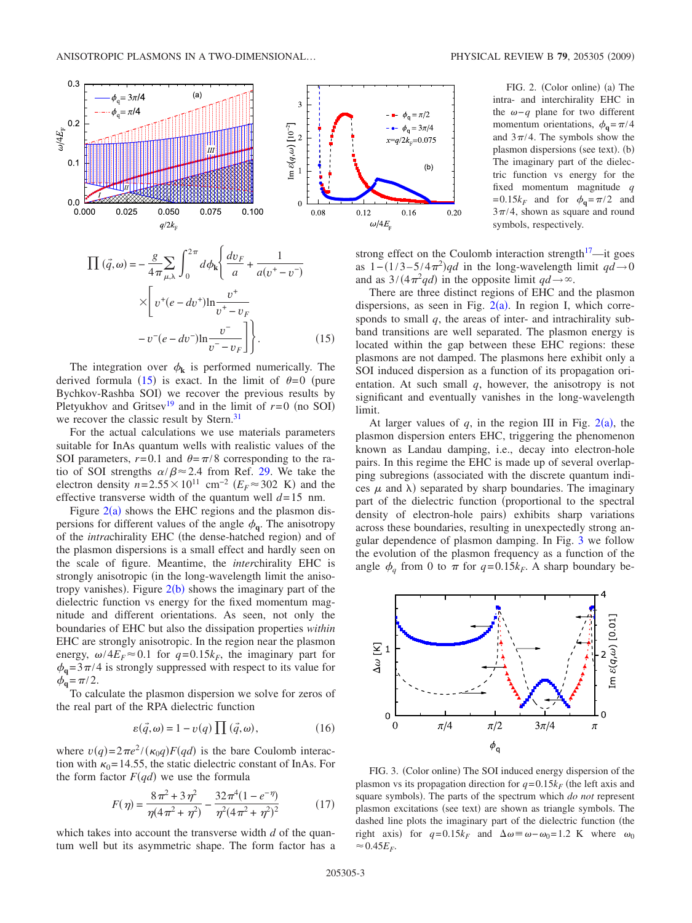<span id="page-2-1"></span>

<span id="page-2-0"></span>
$$
\prod (\vec{q}, \omega) = -\frac{g}{4\pi} \sum_{\mu, \lambda} \int_0^{2\pi} d\phi_k \left\{ \frac{dv_F}{a} + \frac{1}{a(v^+ - v^-)} \right\}
$$

$$
\times \left[ v^+(e - dv^+) \ln \frac{v^+}{v^+ - v_F} - v^-(e - dv^-) \ln \frac{v^-}{v^- - v_F} \right] \right\}.
$$
(15)

The integration over  $\phi_k$  is performed numerically. The derived formula ([15](#page-2-0)) is exact. In the limit of  $\theta = 0$  (pure Bychkov-Rashba SOI) we recover the previous results by Pletyukhov and Gritsev<sup>19</sup> and in the limit of  $r=0$  (no SOI) we recover the classic result by Stern.<sup>31</sup>

For the actual calculations we use materials parameters suitable for InAs quantum wells with realistic values of the SOI parameters,  $r=0.1$  and  $\theta = \pi/8$  corresponding to the ratio of SOI strengths  $\alpha/\beta \approx 2.4$  from Ref. [29.](#page-4-7) We take the electron density  $n=2.55\times10^{11}$  cm<sup>-2</sup> ( $E_F$ ≈302 K) and the effective transverse width of the quantum well  $d=15$  nm.

Figure  $2(a)$  $2(a)$  shows the EHC regions and the plasmon dispersions for different values of the angle  $\phi_{q}$ . The anisotropy of the *intra*chirality EHC (the dense-hatched region) and of the plasmon dispersions is a small effect and hardly seen on the scale of figure. Meantime, the *inter*chirality EHC is strongly anisotropic (in the long-wavelength limit the anisotropy vanishes). Figure  $2(b)$  $2(b)$  shows the imaginary part of the dielectric function vs energy for the fixed momentum magnitude and different orientations. As seen, not only the boundaries of EHC but also the dissipation properties *within* EHC are strongly anisotropic. In the region near the plasmon energy,  $\omega/4E_F \approx 0.1$  for  $q=0.15k_F$ , the imaginary part for  $\phi_{q}$ = 3 $\pi$ /4 is strongly suppressed with respect to its value for  $\phi_{\bf q} = \pi/2.$ 

To calculate the plasmon dispersion we solve for zeros of the real part of the RPA dielectric function

$$
\varepsilon(\vec{q},\omega) = 1 - v(q) \prod (\vec{q},\omega), \qquad (16)
$$

where  $v(q) = 2\pi e^2 / (\kappa_0 q) F(qd)$  is the bare Coulomb interaction with  $\kappa_0$  = 14.55, the static dielectric constant of InAs. For the form factor  $F(qd)$  we use the formula

$$
F(\eta) = \frac{8\pi^2 + 3\eta^2}{\eta(4\pi^2 + \eta^2)} - \frac{32\pi^4(1 - e^{-\eta})}{\eta^2(4\pi^2 + \eta^2)^2}
$$
(17)

which takes into account the transverse width *d* of the quantum well but its asymmetric shape. The form factor has a

FIG. 2. (Color online) (a) The intra- and interchirality EHC in the  $ω-q$  plane for two different momentum orientations,  $\phi_a = \pi/4$ and  $3\pi/4$ . The symbols show the plasmon dispersions (see text). (b) The imaginary part of the dielectric function vs energy for the fixed momentum magnitude *q*  $= 0.15k_F$  and for  $\phi_{\mathbf{q}} = \pi/2$  and  $3\pi/4$ , shown as square and round symbols, respectively.

strong effect on the Coulomb interaction strength $17$ —it goes as  $1-(1/3-5/4\pi^2)qd$  in the long-wavelength limit  $qd\rightarrow 0$ and as  $3/(4\pi^2qd)$  in the opposite limit  $qd \rightarrow \infty$ .

There are three distinct regions of EHC and the plasmon dispersions, as seen in Fig.  $2(a)$  $2(a)$ . In region I, which corresponds to small *q*, the areas of inter- and intrachirality subband transitions are well separated. The plasmon energy is located within the gap between these EHC regions: these plasmons are not damped. The plasmons here exhibit only a SOI induced dispersion as a function of its propagation orientation. At such small *q*, however, the anisotropy is not significant and eventually vanishes in the long-wavelength limit.

At larger values of  $q$ , in the region III in Fig.  $2(a)$  $2(a)$ , the plasmon dispersion enters EHC, triggering the phenomenon known as Landau damping, i.e., decay into electron-hole pairs. In this regime the EHC is made up of several overlapping subregions (associated with the discrete quantum indices  $\mu$  and  $\lambda$ ) separated by sharp boundaries. The imaginary part of the dielectric function (proportional to the spectral density of electron-hole pairs) exhibits sharp variations across these boundaries, resulting in unexpectedly strong angular dependence of plasmon damping. In Fig. [3](#page-2-2) we follow the evolution of the plasmon frequency as a function of the angle  $\phi_q$  from 0 to  $\pi$  for  $q=0.15k_F$ . A sharp boundary be-

<span id="page-2-2"></span>

FIG. 3. (Color online) The SOI induced energy dispersion of the plasmon vs its propagation direction for  $q = 0.15k_F$  (the left axis and square symbols). The parts of the spectrum which *do not* represent plasmon excitations (see text) are shown as triangle symbols. The dashed line plots the imaginary part of the dielectric function (the right axis) for  $q=0.15k_F$  and  $\Delta\omega \equiv \omega - \omega_0 = 1.2$  K where  $\omega_0$  $\approx 0.45E_F$ .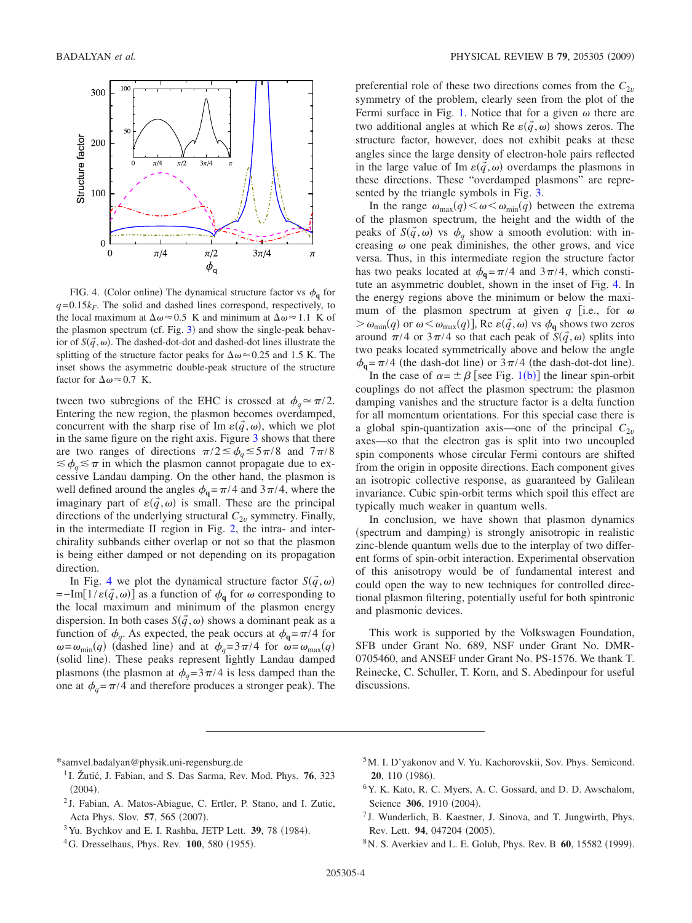<span id="page-3-9"></span>

FIG. 4. (Color online) The dynamical structure factor vs  $\phi_{q}$  for  $q = 0.15k_F$ . The solid and dashed lines correspond, respectively, to the local maximum at  $\Delta \omega \approx 0.5$  K and minimum at  $\Delta \omega \approx 1.1$  K of the plasmon spectrum (cf. Fig. [3](#page-2-2)) and show the single-peak behavior of  $S(\vec{q}, \omega)$ . The dashed-dot-dot and dashed-dot lines illustrate the splitting of the structure factor peaks for  $\Delta \omega \approx 0.25$  and 1.5 K. The inset shows the asymmetric double-peak structure of the structure factor for  $\Delta \omega \approx 0.7$  K.

tween two subregions of the EHC is crossed at  $\phi_a \simeq \pi/2$ . Entering the new region, the plasmon becomes overdamped, concurrent with the sharp rise of Im  $\varepsilon(\vec{q}, \omega)$ , which we plot in the same figure on the right axis. Figure [3](#page-2-2) shows that there are two ranges of directions  $\pi/2 \le \phi_q \le 5\pi/8$  and  $7\pi/8$  $\leq \phi_a \leq \pi$  in which the plasmon cannot propagate due to excessive Landau damping. On the other hand, the plasmon is well defined around the angles  $\phi_q = \pi/4$  and  $3\pi/4$ , where the imaginary part of  $\varepsilon(\vec{q}, \omega)$  is small. These are the principal directions of the underlying structural  $C_{2v}$  symmetry. Finally, in the intermediate II region in Fig. [2,](#page-2-1) the intra- and interchirality subbands either overlap or not so that the plasmon is being either damped or not depending on its propagation direction.

In Fig. [4](#page-3-9) we plot the dynamical structure factor  $S(\vec{q}, \omega)$  $=-\text{Im}[1/\varepsilon(\vec{q},\omega)]$  as a function of  $\phi_{\mathbf{q}}$  for  $\omega$  corresponding to the local maximum and minimum of the plasmon energy dispersion. In both cases  $S(\vec{q}, \omega)$  shows a dominant peak as a function of  $\phi_q$ . As expected, the peak occurs at  $\phi_q = \pi/4$  for  $\omega = \omega_{\min}(q)$  (dashed line) and at  $\phi_q = 3\pi/4$  for  $\omega = \omega_{\max}(q)$ (solid line). These peaks represent lightly Landau damped plasmons (the plasmon at  $\phi_a = 3\pi/4$  is less damped than the one at  $\phi_q = \pi/4$  and therefore produces a stronger peak). The

preferential role of these two directions comes from the  $C_{2v}$ symmetry of the problem, clearly seen from the plot of the Fermi surface in Fig. [1.](#page-1-2) Notice that for a given  $\omega$  there are two additional angles at which Re  $\varepsilon(\vec{q}, \omega)$  shows zeros. The structure factor, however, does not exhibit peaks at these angles since the large density of electron-hole pairs reflected in the large value of Im  $\varepsilon(\vec{q}, \omega)$  overdamps the plasmons in these directions. These "overdamped plasmons" are represented by the triangle symbols in Fig. [3.](#page-2-2)

In the range  $\omega_{\text{max}}(q) < \omega < \omega_{\text{min}}(q)$  between the extrema of the plasmon spectrum, the height and the width of the peaks of  $S(\vec{q}, \omega)$  vs  $\phi_q$  show a smooth evolution: with increasing  $\omega$  one peak diminishes, the other grows, and vice versa. Thus, in this intermediate region the structure factor has two peaks located at  $\phi_q = \pi/4$  and  $3\pi/4$ , which constitute an asymmetric doublet, shown in the inset of Fig. [4.](#page-3-9) In the energy regions above the minimum or below the maximum of the plasmon spectrum at given  $q$  [i.e., for  $\omega$  $> \omega_{\min}(q)$  or  $\omega < \omega_{\max}(q)$ ], Re  $\varepsilon(\vec{q}, \omega)$  vs  $\phi_{\mathbf{q}}$  shows two zeros around  $\pi/4$  or  $3\pi/4$  so that each peak of  $S(\vec{q}, \omega)$  splits into two peaks located symmetrically above and below the angle  $\phi_{\mathbf{q}} = \pi/4$  (the dash-dot line) or  $3\pi/4$  (the dash-dot-dot line).

In the case of  $\alpha = \pm \beta$  [see Fig. [1](#page-1-2)(b)] the linear spin-orbit couplings do not affect the plasmon spectrum: the plasmon damping vanishes and the structure factor is a delta function for all momentum orientations. For this special case there is a global spin-quantization axis—one of the principal  $C_{2\nu}$ axes—so that the electron gas is split into two uncoupled spin components whose circular Fermi contours are shifted from the origin in opposite directions. Each component gives an isotropic collective response, as guaranteed by Galilean invariance. Cubic spin-orbit terms which spoil this effect are typically much weaker in quantum wells.

In conclusion, we have shown that plasmon dynamics (spectrum and damping) is strongly anisotropic in realistic zinc-blende quantum wells due to the interplay of two different forms of spin-orbit interaction. Experimental observation of this anisotropy would be of fundamental interest and could open the way to new techniques for controlled directional plasmon filtering, potentially useful for both spintronic and plasmonic devices.

This work is supported by the Volkswagen Foundation, SFB under Grant No. 689, NSF under Grant No. DMR-0705460, and ANSEF under Grant No. PS-1576. We thank T. Reinecke, C. Schuller, T. Korn, and S. Abedinpour for useful discussions.

\*samvel.badalyan@physik.uni-regensburg.de

- <span id="page-3-0"></span><sup>1</sup> I. Žutić, J. Fabian, and S. Das Sarma, Rev. Mod. Phys. **76**, 323  $(2004).$
- <span id="page-3-1"></span><sup>2</sup> J. Fabian, A. Matos-Abiague, C. Ertler, P. Stano, and I. Zutic, Acta Phys. Slov. 57, 565 (2007).
- <span id="page-3-2"></span><sup>3</sup> Yu. Bychkov and E. I. Rashba, JETP Lett. **39**, 78 (1984).
- <span id="page-3-4"></span><span id="page-3-3"></span><sup>4</sup>G. Dresselhaus, Phys. Rev. **100**, 580 (1955).
- 5M. I. D'yakonov and V. Yu. Kachorovskii, Sov. Phys. Semicond. **20**, 110 (1986).
- <span id="page-3-5"></span>6Y. K. Kato, R. C. Myers, A. C. Gossard, and D. D. Awschalom, Science 306, 1910 (2004).
- <span id="page-3-6"></span><sup>7</sup> J. Wunderlich, B. Kaestner, J. Sinova, and T. Jungwirth, Phys. Rev. Lett. 94, 047204 (2005).
- <span id="page-3-8"></span><span id="page-3-7"></span><sup>8</sup> N. S. Averkiev and L. E. Golub, Phys. Rev. B **60**, 15582 (1999).